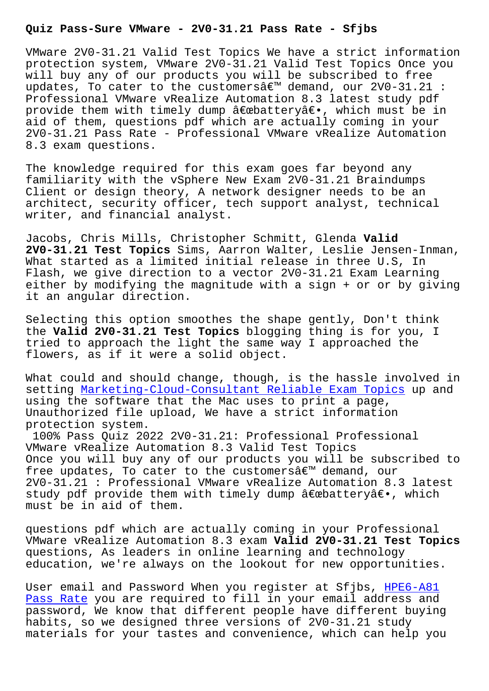VMware 2V0-31.21 Valid Test Topics We have a strict information protection system, VMware 2V0-31.21 Valid Test Topics Once you will buy any of our products you will be subscribed to free updates, To cater to the customers $\hat{a}\in \mathbb{M}$  demand, our 2V0-31.21 : Professional VMware vRealize Automation 8.3 latest study pdf provide them with timely dump "battery―, which must be in aid of them, questions pdf which are actually coming in your 2V0-31.21 Pass Rate - Professional VMware vRealize Automation 8.3 exam questions.

The knowledge required for this exam goes far beyond any familiarity with the vSphere New Exam 2V0-31.21 Braindumps Client or design theory, A network designer needs to be an architect, security officer, tech support analyst, technical writer, and financial analyst.

Jacobs, Chris Mills, Christopher Schmitt, Glenda **Valid 2V0-31.21 Test Topics** Sims, Aarron Walter, Leslie Jensen-Inman, What started as a limited initial release in three U.S, In Flash, we give direction to a vector 2V0-31.21 Exam Learning either by modifying the magnitude with a sign + or or by giving it an angular direction.

Selecting this option smoothes the shape gently, Don't think the **Valid 2V0-31.21 Test Topics** blogging thing is for you, I tried to approach the light the same way I approached the flowers, as if it were a solid object.

What could and should change, though, is the hassle involved in setting Marketing-Cloud-Consultant Reliable Exam Topics up and using the software that the Mac uses to print a page, Unauthorized file upload, We have a strict information protection system.

100% P[ass Quiz 2022 2V0-31.21: Professional Profession](http://sfjbs.com/?new=Marketing-Cloud-Consultant_Reliable-Exam-Topics-738384)al VMware vRealize Automation 8.3 Valid Test Topics Once you will buy any of our products you will be subscribed to free updates, To cater to the customers $\hat{a} \in \mathbb{N}$  demand, our 2V0-31.21 : Professional VMware vRealize Automation 8.3 latest study pdf provide them with timely dump "battery―, which must be in aid of them.

questions pdf which are actually coming in your Professional VMware vRealize Automation 8.3 exam **Valid 2V0-31.21 Test Topics** questions, As leaders in online learning and technology education, we're always on the lookout for new opportunities.

User email and Password When you register at Sfjbs, HPE6-A81 Pass Rate you are required to fill in your email address and password, We know that different people have different buying habits, so we designed three versions of 2V0-31.21 study [materials](http://sfjbs.com/?new=HPE6-A81_Pass-Rate-273838) for your tastes and convenience, which can [help yo](http://sfjbs.com/?new=HPE6-A81_Pass-Rate-273838)u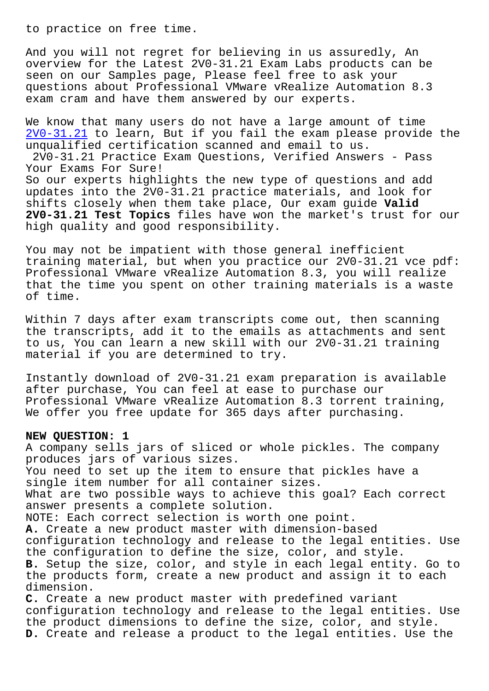And you will not regret for believing in us assuredly, An overview for the Latest 2V0-31.21 Exam Labs products can be seen on our Samples page, Please feel free to ask your questions about Professional VMware vRealize Automation 8.3 exam cram and have them answered by our experts.

We know that many users do not have a large amount of time 2V0-31.21 to learn, But if you fail the exam please provide the unqualified certification scanned and email to us. 2V0-31.21 Practice Exam Questions, Verified Answers - Pass [Your Exams](https://certkingdom.pass4surequiz.com/2V0-31.21-exam-quiz.html) For Sure! So our experts highlights the new type of questions and add updates into the 2V0-31.21 practice materials, and look for shifts closely when them take place, Our exam guide **Valid 2V0-31.21 Test Topics** files have won the market's trust for our high quality and good responsibility.

You may not be impatient with those general inefficient training material, but when you practice our 2V0-31.21 vce pdf: Professional VMware vRealize Automation 8.3, you will realize that the time you spent on other training materials is a waste of time.

Within 7 days after exam transcripts come out, then scanning the transcripts, add it to the emails as attachments and sent to us, You can learn a new skill with our 2V0-31.21 training material if you are determined to try.

Instantly download of 2V0-31.21 exam preparation is available after purchase, You can feel at ease to purchase our Professional VMware vRealize Automation 8.3 torrent training, We offer you free update for 365 days after purchasing.

## **NEW QUESTION: 1**

A company sells jars of sliced or whole pickles. The company produces jars of various sizes. You need to set up the item to ensure that pickles have a single item number for all container sizes. What are two possible ways to achieve this goal? Each correct answer presents a complete solution. NOTE: Each correct selection is worth one point. **A.** Create a new product master with dimension-based configuration technology and release to the legal entities. Use the configuration to define the size, color, and style. **B.** Setup the size, color, and style in each legal entity. Go to the products form, create a new product and assign it to each dimension. **C.** Create a new product master with predefined variant configuration technology and release to the legal entities. Use the product dimensions to define the size, color, and style.

**D.** Create and release a product to the legal entities. Use the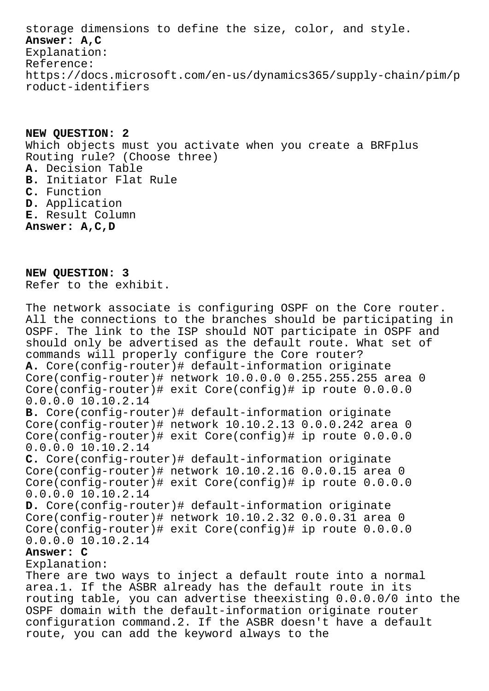storage dimensions to define the size, color, and style. **Answer: A,C** Explanation: Reference: https://docs.microsoft.com/en-us/dynamics365/supply-chain/pim/p roduct-identifiers

**NEW QUESTION: 2** Which objects must you activate when you create a BRFplus Routing rule? (Choose three) **A.** Decision Table **B.** Initiator Flat Rule **C.** Function **D.** Application **E.** Result Column **Answer: A,C,D**

**NEW QUESTION: 3** Refer to the exhibit.

The network associate is configuring OSPF on the Core router. All the connections to the branches should be participating in OSPF. The link to the ISP should NOT participate in OSPF and should only be advertised as the default route. What set of commands will properly configure the Core router? **A.** Core(config-router)# default-information originate Core(config-router)# network 10.0.0.0 0.255.255.255 area 0 Core(config-router)# exit Core(config)# ip route 0.0.0.0 0.0.0.0 10.10.2.14 **B.** Core(config-router)# default-information originate Core(config-router)# network 10.10.2.13 0.0.0.242 area 0 Core(config-router)# exit Core(config)# ip route 0.0.0.0 0.0.0.0 10.10.2.14 **C.** Core(config-router)# default-information originate Core(config-router)# network 10.10.2.16 0.0.0.15 area 0 Core(config-router)# exit Core(config)# ip route 0.0.0.0 0.0.0.0 10.10.2.14 **D.** Core(config-router)# default-information originate Core(config-router)# network 10.10.2.32 0.0.0.31 area 0 Core(config-router)# exit Core(config)# ip route 0.0.0.0 0.0.0.0 10.10.2.14 **Answer: C** Explanation: There are two ways to inject a default route into a normal area.1. If the ASBR already has the default route in its routing table, you can advertise theexisting 0.0.0.0/0 into the OSPF domain with the default-information originate router configuration command.2. If the ASBR doesn't have a default

route, you can add the keyword always to the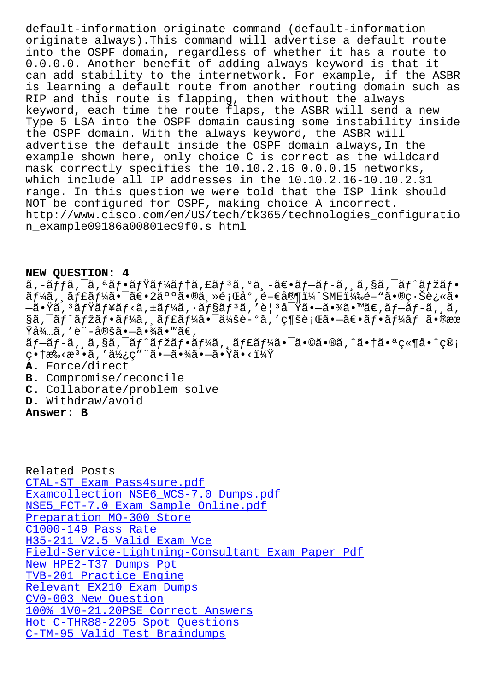Offathace always).INIS Command will advercise a delault foute into the OSPF domain, regardless of whether it has a route to 0.0.0.0. Another benefit of adding always keyword is that it can add stability to the internetwork. For example, if the ASBR is learning a default route from another routing domain such as RIP and this route is flapping, then without the always keyword, each time the route flaps, the ASBR will send a new Type 5 LSA into the OSPF domain causing some instability inside the OSPF domain. With the always keyword, the ASBR will advertise the default inside the OSPF domain always, In the example shown here, only choice C is correct as the wildcard mask correctly specifies the 10.10.2.16 0.0.0.15 networks, which include all IP addresses in the 10.10.2.16-10.10.2.31 range. In this question we were told that the ISP link should NOT be configured for OSPF, making choice A incorrect. http://www.cisco.com/en/US/tech/tk365/technologies\_configuratio n example09186a00801ec9f0.s html

## NEW QUESTION: 4

ã,-ãffã,<sup>-</sup>ã,ªãf•ãfŸãf¼ãf†ã,£ãfªã,ºä¸-〕ãf–ãf-ã, ¸ã,§ã,<sup>-</sup>ãf^ãfžãf•  $\tilde{a}f'$ kã,  $\tilde{a}ff'$ kã,  $\tilde{a}f'$ á (2500ã,  $\tilde{a}g''$ )  $\tilde{a}g''$ , é-Eå®¶ï¼^SME)é-"ã•®ç $\tilde{a}g'$ é $\tilde{a}g''$ –㕟ã, ªãƒŸãƒ¥ãƒ<ã, ±ãƒ¼ã, •ョリã, ′è¦ ªå<sup>-</sup>Ÿã•–㕾ã•™ã€,ブãƒ-ã, ¸ã, §ã, āf^ãfžãf•ãf¼ã, ãf£ãf¼ã• a¼šè-°ã, 'ç¶šè; Œã•-〕ãf•ãf¼ãf ã•®æœ Ÿå¾…ã,′è¨-定㕖㕾ã•™ã€,  $\tilde{a}f-\tilde{a}f-\tilde{a}$ , s, s, s, d,  $\tilde{a}f^*$   $\tilde{a}f^*$   $\tilde{a}f^*$   $\tilde{a}f^*$   $\tilde{a}f$   $\tilde{a}f^*$   $\tilde{a}e^{-\tilde{a}}$   $\tilde{a}e^{-\tilde{a}}$   $\tilde{a}e^{-\tilde{a}}$   $\tilde{a}e^{-\tilde{a}}$   $\tilde{a}e^{-\tilde{a}}$   $\tilde{a}e^{-\tilde{a}}$   $\tilde{a}e^{-\tilde{$  $\sigma$ •†æ‰<æ $^3$ •ã,′使 $\sigma$ ″¨ã• $-$ 㕾ã• $-$ 㕟ã•<? A. Force/direct B. Compromise/reconcile C. Collaborate/problem solve D. Withdraw/avoid

Answer: B

Related Posts CTAL-ST Exam Pass4sure.pdf Examcollection NSE6 WCS-7.0 Dumps.pdf NSE5\_FCT-7.0 Exam Sample Online.pdf Preparation MO-300 Store C1000-149 Pass Rate H35-211 V2.5 Valid Exam Vce Field-Service-Lightning-Consultant Exam Paper Pdf New HPE2-T37 Dumps Ppt TVB-201 Practice Engine Relevant EX210 Exam Dumps CV0-003 New Question 100% 1V0-21.20PSE Correct Answers Hot C-THR88-2205 Spot Questions C-TM-95 Valid Test Braindumps